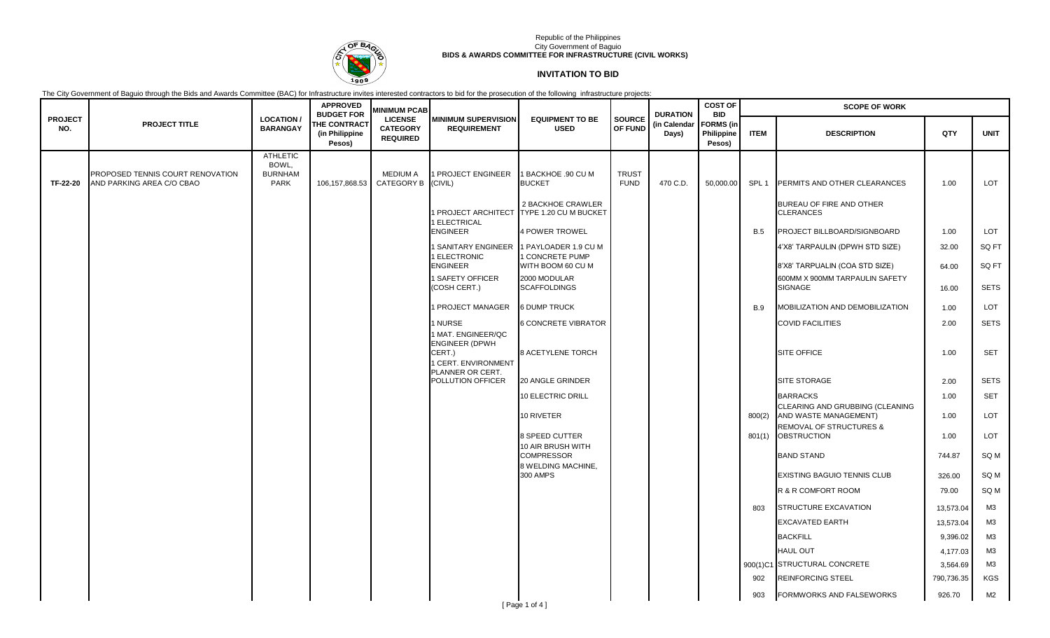

### Republic of the Philippines City Government of Baguio **BIDS & AWARDS COMMITTEE FOR INFRASTRUCTURE (CIVIL WORKS)**

# **INVITATION TO BID**

The City Government of Baguio through the Bids and Awards Committee (BAC) for Infrastructure invites interested contractors to bid for the prosecution of the following infrastructure projects:

|                       |                                                               |                                                           | <b>APPROVED</b>                                                      | <b>MINIMUM PCAB</b>                                  |                                                  |                                                   |                             | <b>DURATION</b>       | <b>COST OF</b><br><b>BID</b>             |                  | <b>SCOPE OF WORK</b>                                             |            |                |
|-----------------------|---------------------------------------------------------------|-----------------------------------------------------------|----------------------------------------------------------------------|------------------------------------------------------|--------------------------------------------------|---------------------------------------------------|-----------------------------|-----------------------|------------------------------------------|------------------|------------------------------------------------------------------|------------|----------------|
| <b>PROJECT</b><br>NO. | <b>PROJECT TITLE</b>                                          | <b>LOCATION/</b><br><b>BARANGAY</b>                       | <b>BUDGET FOR</b><br><b>THE CONTRACT</b><br>(in Philippine<br>Pesos) | <b>LICENSE</b><br><b>CATEGORY</b><br><b>REQUIRED</b> | <b>MINIMUM SUPERVISION</b><br><b>REQUIREMENT</b> | <b>EQUIPMENT TO BE</b><br><b>USED</b>             | <b>SOURCE</b><br>OF FUND    | (in Calendar<br>Days) | <b>FORMS</b> (in<br>Philippine<br>Pesos) | <b>ITEM</b>      | <b>DESCRIPTION</b>                                               | QTY        | <b>UNIT</b>    |
| TF-22-20              | PROPOSED TENNIS COURT RENOVATION<br>AND PARKING AREA C/O CBAO | <b>ATHLETIC</b><br>BOWL,<br><b>BURNHAM</b><br><b>PARK</b> | 106,157,868.53                                                       | <b>MEDIUM A</b><br>CATEGORY B                        | I PROJECT ENGINEER<br>(CIVIL)                    | <b>BACKHOE .90 CU M</b><br><b>BUCKET</b>          | <b>TRUST</b><br><b>FUND</b> | 470 C.D.              | 50,000.00                                | SPL <sub>1</sub> | PERMITS AND OTHER CLEARANCES                                     | 1.00       | <b>LOT</b>     |
|                       |                                                               |                                                           |                                                                      |                                                      | 1 PROJECT ARCHITECT<br>1 ELECTRICAL              | 2 BACKHOE CRAWLER<br>TYPE 1.20 CU M BUCKET        |                             |                       |                                          |                  | BUREAU OF FIRE AND OTHER<br><b>CLERANCES</b>                     |            |                |
|                       |                                                               |                                                           |                                                                      |                                                      | <b>ENGINEER</b>                                  | <b>4 POWER TROWEL</b>                             |                             |                       |                                          | <b>B.5</b>       | PROJECT BILLBOARD/SIGNBOARD                                      | 1.00       | <b>LOT</b>     |
|                       |                                                               |                                                           |                                                                      |                                                      | <b>SANITARY ENGINEER</b><br>1 ELECTRONIC         | <b>PAYLOADER 1.9 CU M</b><br><b>CONCRETE PUMP</b> |                             |                       |                                          |                  | 4'X8' TARPAULIN (DPWH STD SIZE)                                  | 32.00      | SQ FT          |
|                       |                                                               |                                                           |                                                                      |                                                      | <b>ENGINEER</b><br>I SAFETY OFFICER              | WITH BOOM 60 CU M<br>2000 MODULAR                 |                             |                       |                                          |                  | 8'X8' TARPUALIN (COA STD SIZE)<br>600MM X 900MM TARPAULIN SAFETY | 64.00      | SQ FT          |
|                       |                                                               |                                                           |                                                                      |                                                      | (COSH CERT.)                                     | <b>SCAFFOLDINGS</b>                               |                             |                       |                                          |                  | SIGNAGE                                                          | 16.00      | <b>SETS</b>    |
|                       |                                                               |                                                           |                                                                      |                                                      | 1 PROJECT MANAGER                                | <b>6 DUMP TRUCK</b>                               |                             |                       |                                          | <b>B.9</b>       | MOBILIZATION AND DEMOBILIZATION                                  | 1.00       | <b>LOT</b>     |
|                       |                                                               |                                                           |                                                                      |                                                      | 1 NURSE<br>1 MAT. ENGINEER/QC                    | <b>6 CONCRETE VIBRATOR</b>                        |                             |                       |                                          |                  | <b>COVID FACILITIES</b>                                          | 2.00       | <b>SETS</b>    |
|                       |                                                               |                                                           |                                                                      |                                                      | ENGINEER (DPWH<br>CERT.)<br>1 CERT. ENVIRONMENT  | 8 ACETYLENE TORCH                                 |                             |                       |                                          |                  | <b>SITE OFFICE</b>                                               | 1.00       | SET            |
|                       |                                                               |                                                           |                                                                      |                                                      | PLANNER OR CERT.<br>POLLUTION OFFICER            | 20 ANGLE GRINDER                                  |                             |                       |                                          |                  | <b>SITE STORAGE</b>                                              | 2.00       | <b>SETS</b>    |
|                       |                                                               |                                                           |                                                                      |                                                      |                                                  | 10 ELECTRIC DRILL                                 |                             |                       |                                          |                  | <b>BARRACKS</b>                                                  | 1.00       | <b>SET</b>     |
|                       |                                                               |                                                           |                                                                      |                                                      |                                                  | 10 RIVETER                                        |                             |                       |                                          | 800(2)           | CLEARING AND GRUBBING (CLEANING<br>AND WASTE MANAGEMENT)         | 1.00       | <b>LOT</b>     |
|                       |                                                               |                                                           |                                                                      |                                                      |                                                  | 8 SPEED CUTTER<br>10 AIR BRUSH WITH               |                             |                       |                                          | 801(1)           | <b>REMOVAL OF STRUCTURES &amp;</b><br><b>OBSTRUCTION</b>         | 1.00       | <b>LOT</b>     |
|                       |                                                               |                                                           |                                                                      |                                                      |                                                  | <b>COMPRESSOR</b><br>8 WELDING MACHINE,           |                             |                       |                                          |                  | <b>BAND STAND</b>                                                | 744.87     | SQ M           |
|                       |                                                               |                                                           |                                                                      |                                                      |                                                  | 300 AMPS                                          |                             |                       |                                          |                  | <b>EXISTING BAGUIO TENNIS CLUB</b>                               | 326.00     | SQ M           |
|                       |                                                               |                                                           |                                                                      |                                                      |                                                  |                                                   |                             |                       |                                          |                  | R & R COMFORT ROOM                                               | 79.00      | SQ M           |
|                       |                                                               |                                                           |                                                                      |                                                      |                                                  |                                                   |                             |                       |                                          | 803              | STRUCTURE EXCAVATION                                             | 13,573.04  | MЗ             |
|                       |                                                               |                                                           |                                                                      |                                                      |                                                  |                                                   |                             |                       |                                          |                  | <b>EXCAVATED EARTH</b>                                           | 13,573.04  | ΜЗ             |
|                       |                                                               |                                                           |                                                                      |                                                      |                                                  |                                                   |                             |                       |                                          |                  | <b>BACKFILL</b>                                                  | 9,396.02   | MЗ             |
|                       |                                                               |                                                           |                                                                      |                                                      |                                                  |                                                   |                             |                       |                                          |                  | <b>HAUL OUT</b>                                                  | 4,177.03   | M <sub>3</sub> |
|                       |                                                               |                                                           |                                                                      |                                                      |                                                  |                                                   |                             |                       |                                          |                  | 900(1)C1 STRUCTURAL CONCRETE                                     | 3,564.69   | M <sub>3</sub> |
|                       |                                                               |                                                           |                                                                      |                                                      |                                                  |                                                   |                             |                       |                                          | 902              | <b>REINFORCING STEEL</b>                                         | 790,736.35 | <b>KGS</b>     |
|                       |                                                               |                                                           |                                                                      |                                                      |                                                  | [Page 1 of 4]                                     |                             |                       |                                          | 903              | <b>FORMWORKS AND FALSEWORKS</b>                                  | 926.70     | M2             |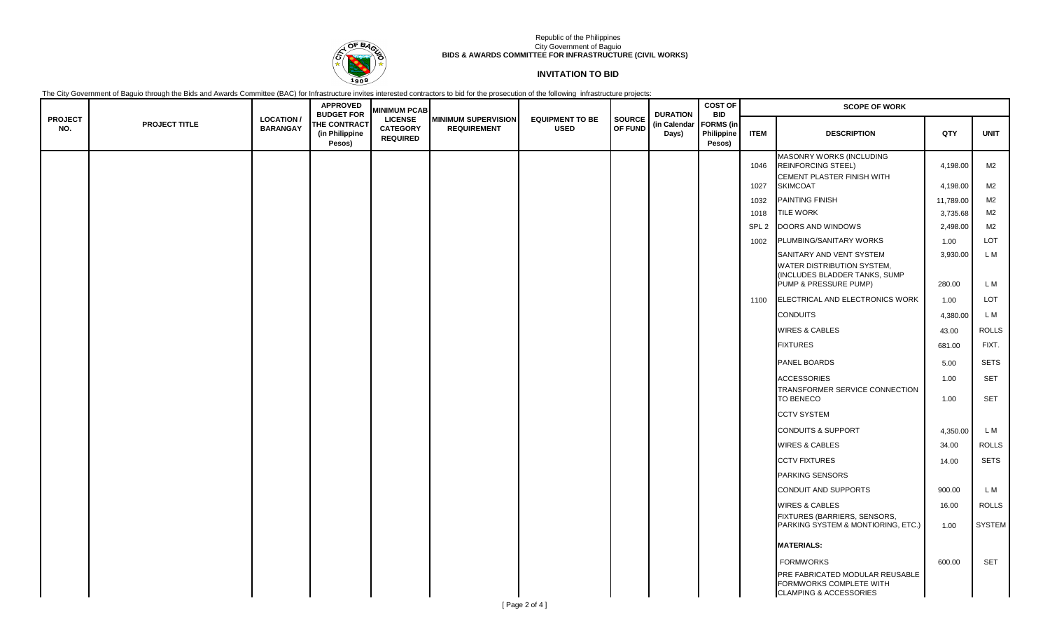

### Republic of the Philippines City Government of Baguio **BIDS & AWARDS COMMITTEE FOR INFRASTRUCTURE (CIVIL WORKS)**

## **INVITATION TO BID**

The City Government of Baguio through the Bids and Awards Committee (BAC) for Infrastructure invites interested contractors to bid for the prosecution of the following infrastructure projects:

|                       |               |                                     | <b>APPROVED</b><br><b>BUDGET FOR</b>            | <b>MINIMUM PCAB</b>                                  |                                                  |                                       |                          | <b>DURATION</b>       | <b>COST OF</b><br><b>BID</b>             | <b>SCOPE OF WORK</b> |                                                                                                 |              |                          |  |
|-----------------------|---------------|-------------------------------------|-------------------------------------------------|------------------------------------------------------|--------------------------------------------------|---------------------------------------|--------------------------|-----------------------|------------------------------------------|----------------------|-------------------------------------------------------------------------------------------------|--------------|--------------------------|--|
| <b>PROJECT</b><br>NO. | PROJECT TITLE | <b>LOCATION/</b><br><b>BARANGAY</b> | <b>THE CONTRACT</b><br>(in Philippine<br>Pesos) | <b>LICENSE</b><br><b>CATEGORY</b><br><b>REQUIRED</b> | <b>MINIMUM SUPERVISION</b><br><b>REQUIREMENT</b> | <b>EQUIPMENT TO BE</b><br><b>USED</b> | <b>SOURCE</b><br>OF FUND | (in Calendar<br>Days) | <b>FORMS</b> (in<br>Philippine<br>Pesos) | <b>ITEM</b>          | <b>DESCRIPTION</b>                                                                              | QTY          | <b>UNIT</b>              |  |
|                       |               |                                     |                                                 |                                                      |                                                  |                                       |                          |                       |                                          | 1046                 | MASONRY WORKS (INCLUDING<br><b>REINFORCING STEEL)</b>                                           | 4,198.00     | M2                       |  |
|                       |               |                                     |                                                 |                                                      |                                                  |                                       |                          |                       |                                          | 1027                 | CEMENT PLASTER FINISH WITH<br><b>SKIMCOAT</b>                                                   | 4,198.00     | M2                       |  |
|                       |               |                                     |                                                 |                                                      |                                                  |                                       |                          |                       |                                          | 1032                 | PAINTING FINISH                                                                                 | 11,789.00    | M2                       |  |
|                       |               |                                     |                                                 |                                                      |                                                  |                                       |                          |                       |                                          | 1018                 | <b>TILE WORK</b>                                                                                | 3,735.68     | M2                       |  |
|                       |               |                                     |                                                 |                                                      |                                                  |                                       |                          |                       |                                          | SPL <sub>2</sub>     | DOORS AND WINDOWS                                                                               | 2,498.00     | M <sub>2</sub>           |  |
|                       |               |                                     |                                                 |                                                      |                                                  |                                       |                          |                       |                                          | 1002                 | PLUMBING/SANITARY WORKS                                                                         | 1.00         | LOT                      |  |
|                       |               |                                     |                                                 |                                                      |                                                  |                                       |                          |                       |                                          |                      | SANITARY AND VENT SYSTEM                                                                        | 3,930.00     | L M                      |  |
|                       |               |                                     |                                                 |                                                      |                                                  |                                       |                          |                       |                                          |                      | WATER DISTRIBUTION SYSTEM,<br>(INCLUDES BLADDER TANKS, SUMP)<br>PUMP & PRESSURE PUMP)           | 280.00       | L M                      |  |
|                       |               |                                     |                                                 |                                                      |                                                  |                                       |                          |                       |                                          | 1100                 | ELECTRICAL AND ELECTRONICS WORK                                                                 | 1.00         | LOT                      |  |
|                       |               |                                     |                                                 |                                                      |                                                  |                                       |                          |                       |                                          |                      | <b>CONDUITS</b>                                                                                 | 4,380.00     | L M                      |  |
|                       |               |                                     |                                                 |                                                      |                                                  |                                       |                          |                       |                                          |                      | <b>WIRES &amp; CABLES</b>                                                                       | 43.00        | <b>ROLLS</b>             |  |
|                       |               |                                     |                                                 |                                                      |                                                  |                                       |                          |                       |                                          |                      | <b>FIXTURES</b>                                                                                 | 681.00       | FIXT.                    |  |
|                       |               |                                     |                                                 |                                                      |                                                  |                                       |                          |                       |                                          |                      | PANEL BOARDS                                                                                    | 5.00         | <b>SETS</b>              |  |
|                       |               |                                     |                                                 |                                                      |                                                  |                                       |                          |                       |                                          |                      | <b>ACCESSORIES</b><br>TRANSFORMER SERVICE CONNECTION<br><b>TO BENECO</b>                        | 1.00<br>1.00 | <b>SET</b><br><b>SET</b> |  |
|                       |               |                                     |                                                 |                                                      |                                                  |                                       |                          |                       |                                          |                      | <b>CCTV SYSTEM</b>                                                                              |              |                          |  |
|                       |               |                                     |                                                 |                                                      |                                                  |                                       |                          |                       |                                          |                      | <b>CONDUITS &amp; SUPPORT</b>                                                                   | 4,350.00     | L M                      |  |
|                       |               |                                     |                                                 |                                                      |                                                  |                                       |                          |                       |                                          |                      | <b>WIRES &amp; CABLES</b>                                                                       | 34.00        | <b>ROLLS</b>             |  |
|                       |               |                                     |                                                 |                                                      |                                                  |                                       |                          |                       |                                          |                      | <b>CCTV FIXTURES</b>                                                                            | 14.00        | <b>SETS</b>              |  |
|                       |               |                                     |                                                 |                                                      |                                                  |                                       |                          |                       |                                          |                      | <b>PARKING SENSORS</b>                                                                          |              |                          |  |
|                       |               |                                     |                                                 |                                                      |                                                  |                                       |                          |                       |                                          |                      | <b>CONDUIT AND SUPPORTS</b>                                                                     | 900.00       | L M                      |  |
|                       |               |                                     |                                                 |                                                      |                                                  |                                       |                          |                       |                                          |                      | <b>WIRES &amp; CABLES</b>                                                                       | 16.00        | <b>ROLLS</b>             |  |
|                       |               |                                     |                                                 |                                                      |                                                  |                                       |                          |                       |                                          |                      | FIXTURES (BARRIERS, SENSORS,<br>PARKING SYSTEM & MONTIORING, ETC.)                              | 1.00         | <b>SYSTEM</b>            |  |
|                       |               |                                     |                                                 |                                                      |                                                  |                                       |                          |                       |                                          |                      | <b>MATERIALS:</b>                                                                               |              |                          |  |
|                       |               |                                     |                                                 |                                                      |                                                  |                                       |                          |                       |                                          |                      | <b>FORMWORKS</b>                                                                                | 600.00       | SET                      |  |
|                       |               |                                     |                                                 |                                                      |                                                  |                                       |                          |                       |                                          |                      | PRE FABRICATED MODULAR REUSABLE<br>FORMWORKS COMPLETE WITH<br><b>CLAMPING &amp; ACCESSORIES</b> |              |                          |  |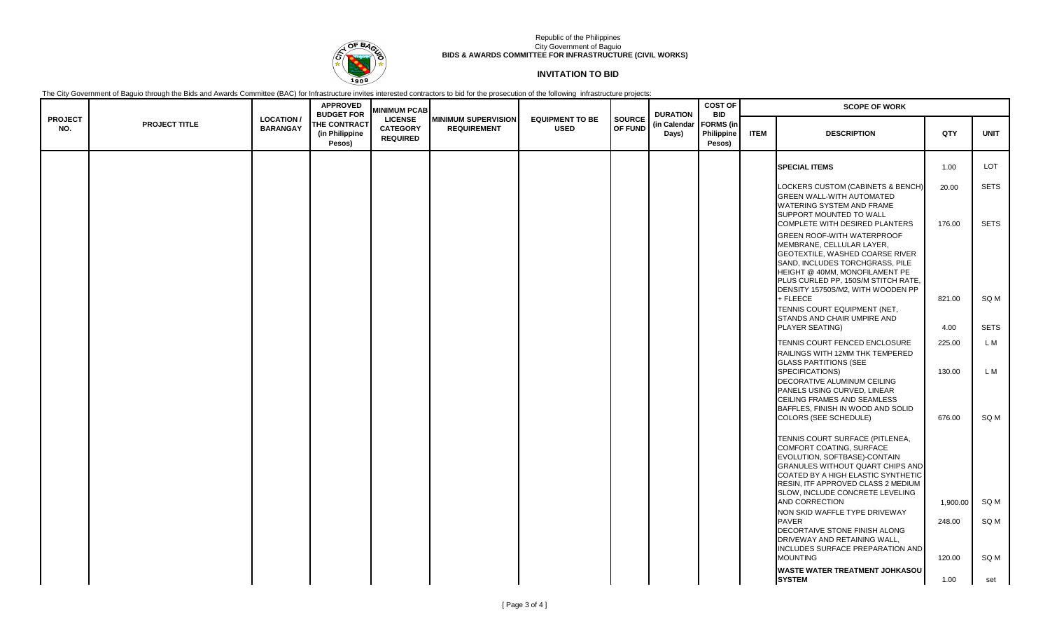

### Republic of the Philippines City Government of Baguio **BIDS & AWARDS COMMITTEE FOR INFRASTRUCTURE (CIVIL WORKS)**

## **INVITATION TO BID**

The City Government of Baguio through the Bids and Awards Committee (BAC) for Infrastructure invites interested contractors to bid for the prosecution of the following infrastructure projects:

|                       |                      |                                     | <b>APPROVED</b><br><b>BUDGET FOR</b>            | <b>MINIMUM PCAB</b>                                  |                                                  |                                       |                          | <b>DURATION</b>       | <b>COST OF</b><br><b>BID</b>             |             | <b>SCOPE OF WORK</b>                                                                                                                                                                                                                                                           |                 |                            |  |  |
|-----------------------|----------------------|-------------------------------------|-------------------------------------------------|------------------------------------------------------|--------------------------------------------------|---------------------------------------|--------------------------|-----------------------|------------------------------------------|-------------|--------------------------------------------------------------------------------------------------------------------------------------------------------------------------------------------------------------------------------------------------------------------------------|-----------------|----------------------------|--|--|
| <b>PROJECT</b><br>NO. | <b>PROJECT TITLE</b> | <b>LOCATION/</b><br><b>BARANGAY</b> | <b>THE CONTRACT</b><br>(in Philippine<br>Pesos) | <b>LICENSE</b><br><b>CATEGORY</b><br><b>REQUIRED</b> | <b>MINIMUM SUPERVISION</b><br><b>REQUIREMENT</b> | <b>EQUIPMENT TO BE</b><br><b>USED</b> | <b>SOURCE</b><br>OF FUND | (in Calendar<br>Days) | <b>FORMS</b> (in<br>Philippine<br>Pesos) | <b>ITEM</b> | <b>DESCRIPTION</b>                                                                                                                                                                                                                                                             | QTY             | <b>UNIT</b>                |  |  |
|                       |                      |                                     |                                                 |                                                      |                                                  |                                       |                          |                       |                                          |             | <b>SPECIAL ITEMS</b>                                                                                                                                                                                                                                                           | 1.00            | LOT                        |  |  |
|                       |                      |                                     |                                                 |                                                      |                                                  |                                       |                          |                       |                                          |             | LOCKERS CUSTOM (CABINETS & BENCH<br><b>GREEN WALL-WITH AUTOMATED</b><br>WATERING SYSTEM AND FRAME<br>SUPPORT MOUNTED TO WALL<br>COMPLETE WITH DESIRED PLANTERS                                                                                                                 | 20.00<br>176.00 | <b>SETS</b><br><b>SETS</b> |  |  |
|                       |                      |                                     |                                                 |                                                      |                                                  |                                       |                          |                       |                                          |             | <b>GREEN ROOF-WITH WATERPROOF</b><br>MEMBRANE, CELLULAR LAYER,<br>GEOTEXTILE, WASHED COARSE RIVER<br>SAND, INCLUDES TORCHGRASS, PILE<br>HEIGHT @ 40MM, MONOFILAMENT PE<br>PLUS CURLED PP, 150S/M STITCH RATE,<br>DENSITY 15750S/M2, WITH WOODEN PP                             |                 |                            |  |  |
|                       |                      |                                     |                                                 |                                                      |                                                  |                                       |                          |                       |                                          |             | + FLEECE<br>TENNIS COURT EQUIPMENT (NET,<br>STANDS AND CHAIR UMPIRE AND<br><b>PLAYER SEATING)</b>                                                                                                                                                                              | 821.00<br>4.00  | SQ M<br><b>SETS</b>        |  |  |
|                       |                      |                                     |                                                 |                                                      |                                                  |                                       |                          |                       |                                          |             | TENNIS COURT FENCED ENCLOSURE                                                                                                                                                                                                                                                  | 225.00          | L M                        |  |  |
|                       |                      |                                     |                                                 |                                                      |                                                  |                                       |                          |                       |                                          |             | RAILINGS WITH 12MM THK TEMPERED<br><b>GLASS PARTITIONS (SEE</b><br>SPECIFICATIONS)<br>DECORATIVE ALUMINUM CEILING<br>PANELS USING CURVED. LINEAR<br>CEILING FRAMES AND SEAMLESS<br>BAFFLES, FINISH IN WOOD AND SOLID                                                           | 130.00          | L M                        |  |  |
|                       |                      |                                     |                                                 |                                                      |                                                  |                                       |                          |                       |                                          |             | <b>COLORS (SEE SCHEDULE)</b><br>TENNIS COURT SURFACE (PITLENEA,<br>COMFORT COATING, SURFACE<br>EVOLUTION, SOFTBASE)-CONTAIN<br>GRANULES WITHOUT QUART CHIPS AND<br>COATED BY A HIGH ELASTIC SYNTHETIC<br>RESIN, ITF APPROVED CLASS 2 MEDIUM<br>SLOW, INCLUDE CONCRETE LEVELING | 676.00          | SQ M                       |  |  |
|                       |                      |                                     |                                                 |                                                      |                                                  |                                       |                          |                       |                                          |             | AND CORRECTION<br>NON SKID WAFFLE TYPE DRIVEWAY                                                                                                                                                                                                                                | 1,900.00        | SQ M                       |  |  |
|                       |                      |                                     |                                                 |                                                      |                                                  |                                       |                          |                       |                                          |             | <b>PAVER</b><br>DECORTAIVE STONE FINISH ALONG<br>DRIVEWAY AND RETAINING WALL,<br>INCLUDES SURFACE PREPARATION AND                                                                                                                                                              | 248.00          | SQ M                       |  |  |
|                       |                      |                                     |                                                 |                                                      |                                                  |                                       |                          |                       |                                          |             | <b>MOUNTING</b>                                                                                                                                                                                                                                                                | 120.00          | SQ M                       |  |  |
|                       |                      |                                     |                                                 |                                                      |                                                  |                                       |                          |                       |                                          |             | <b>WASTE WATER TREATMENT JOHKASOU</b><br><b>SYSTEM</b>                                                                                                                                                                                                                         | 1.00            | set                        |  |  |